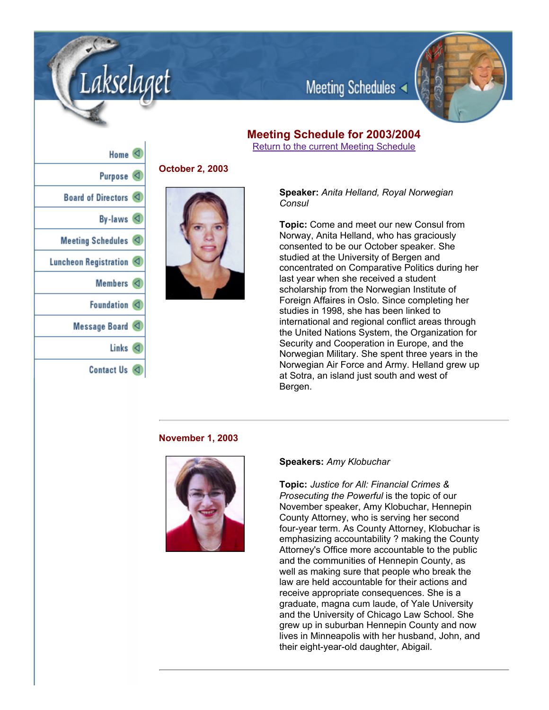

Meeting Schedules

# **Meeting Schedule for 2003/2004**

Return to the current Meeting Schedule

| Home $\triangleleft$    |
|-------------------------|
| Purpose <sup>(</sup>    |
| Board of Directors      |
| By-laws $\triangleleft$ |
| Meeting Schedules <     |
| Luncheon Registration   |
| Members $\lhd$          |
| Foundation <            |
| Message Board <         |
| Links<br>к              |
| Contact Us              |

akselaget

# **October 2, 2003**



**Speaker:** *Anita Helland, Royal Norwegian Consul*

**Topic:** Come and meet our new Consul from Norway, Anita Helland, who has graciously consented to be our October speaker. She studied at the University of Bergen and concentrated on Comparative Politics during her last year when she received a student scholarship from the Norwegian Institute of Foreign Affaires in Oslo. Since completing her studies in 1998, she has been linked to international and regional conflict areas through the United Nations System, the Organization for Security and Cooperation in Europe, and the Norwegian Military. She spent three years in the Norwegian Air Force and Army. Helland grew up at Sotra, an island just south and west of Bergen.

# **November 1, 2003**



#### **Speakers:** *Amy Klobuchar*

**Topic:** *Justice for All: Financial Crimes & Prosecuting the Powerful* is the topic of our November speaker, Amy Klobuchar, Hennepin County Attorney, who is serving her second four-year term. As County Attorney, Klobuchar is emphasizing accountability ? making the County Attorney's Office more accountable to the public and the communities of Hennepin County, as well as making sure that people who break the law are held accountable for their actions and receive appropriate consequences. She is a graduate, magna cum laude, of Yale University and the University of Chicago Law School. She grew up in suburban Hennepin County and now lives in Minneapolis with her husband, John, and their eight-year-old daughter, Abigail.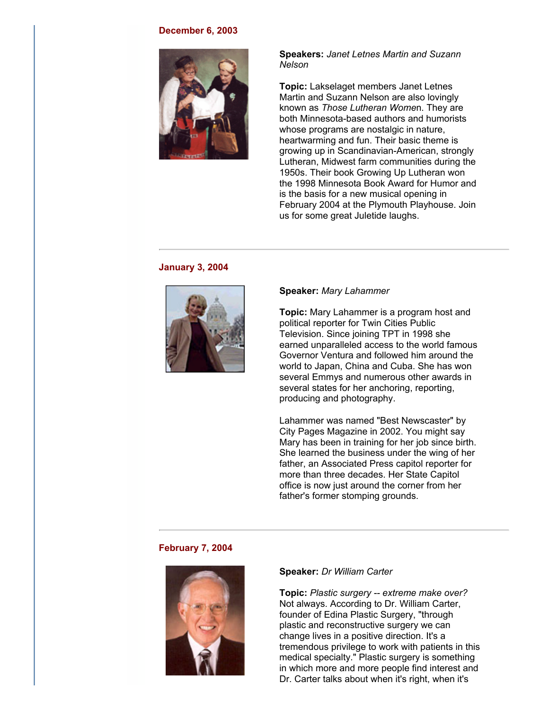#### **December 6, 2003**



# **Speakers:** *Janet Letnes Martin and Suzann Nelson*

**Topic:** Lakselaget members Janet Letnes Martin and Suzann Nelson are also lovingly known as *Those Lutheran Wome*n. They are both Minnesota-based authors and humorists whose programs are nostalgic in nature, heartwarming and fun. Their basic theme is growing up in Scandinavian-American, strongly Lutheran, Midwest farm communities during the 1950s. Their book Growing Up Lutheran won the 1998 Minnesota Book Award for Humor and is the basis for a new musical opening in February 2004 at the Plymouth Playhouse. Join us for some great Juletide laughs.

## **January 3, 2004**



#### **Speaker:** *Mary Lahammer*

**Topic:** Mary Lahammer is a program host and political reporter for Twin Cities Public Television. Since joining TPT in 1998 she earned unparalleled access to the world famous Governor Ventura and followed him around the world to Japan, China and Cuba. She has won several Emmys and numerous other awards in several states for her anchoring, reporting, producing and photography.

Lahammer was named "Best Newscaster" by City Pages Magazine in 2002. You might say Mary has been in training for her job since birth. She learned the business under the wing of her father, an Associated Press capitol reporter for more than three decades. Her State Capitol office is now just around the corner from her father's former stomping grounds.

# **February 7, 2004**



#### **Speaker:** *Dr William Carter*

**Topic:** *Plastic surgery extreme make over?* Not always. According to Dr. William Carter, founder of Edina Plastic Surgery, "through plastic and reconstructive surgery we can change lives in a positive direction. It's a tremendous privilege to work with patients in this medical specialty." Plastic surgery is something in which more and more people find interest and Dr. Carter talks about when it's right, when it's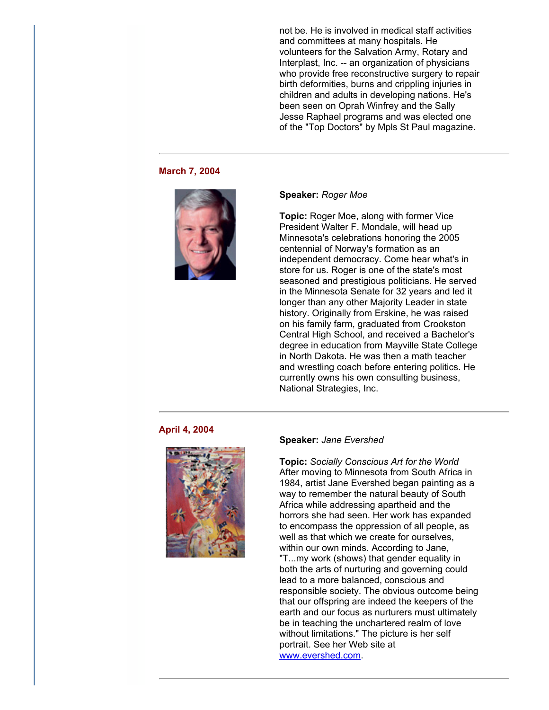not be. He is involved in medical staff activities and committees at many hospitals. He volunteers for the Salvation Army, Rotary and Interplast, Inc. -- an organization of physicians who provide free reconstructive surgery to repair birth deformities, burns and crippling injuries in children and adults in developing nations. He's been seen on Oprah Winfrey and the Sally Jesse Raphael programs and was elected one of the "Top Doctors" by Mpls St Paul magazine.

#### **March 7, 2004**



#### **Speaker:** *Roger Moe*

**Topic:** Roger Moe, along with former Vice President Walter F. Mondale, will head up Minnesota's celebrations honoring the 2005 centennial of Norway's formation as an independent democracy. Come hear what's in store for us. Roger is one of the state's most seasoned and prestigious politicians. He served in the Minnesota Senate for 32 years and led it longer than any other Majority Leader in state history. Originally from Erskine, he was raised on his family farm, graduated from Crookston Central High School, and received a Bachelor's degree in education from Mayville State College in North Dakota. He was then a math teacher and wrestling coach before entering politics. He currently owns his own consulting business, National Strategies, Inc.

# **April 4, 2004**



# **Speaker:** *Jane Evershed*

**Topic:** *Socially Conscious Art for the World* After moving to Minnesota from South Africa in 1984, artist Jane Evershed began painting as a way to remember the natural beauty of South Africa while addressing apartheid and the horrors she had seen. Her work has expanded to encompass the oppression of all people, as well as that which we create for ourselves, within our own minds. According to Jane, "T...my work (shows) that gender equality in both the arts of nurturing and governing could lead to a more balanced, conscious and responsible society. The obvious outcome being that our offspring are indeed the keepers of the earth and our focus as nurturers must ultimately be in teaching the unchartered realm of love without limitations." The picture is her self portrait. See her Web site at www.evershed.com.